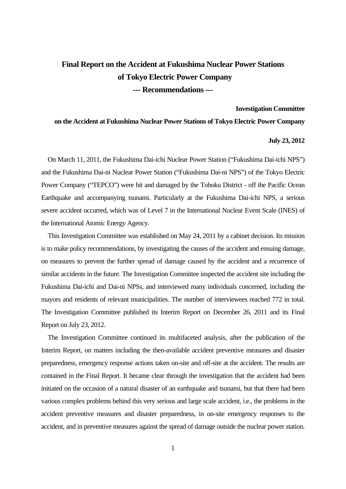# **Final Report on the Accident at Fukushima Nuclear Power Stations of Tokyo Electric Power Company --- Recommendations ---**

#### **Investigation Committee**

## **on the Accident at Fukushima Nuclear Power Stations of Tokyo Electric Power Company**

## **July 23, 2012**

On March 11, 2011, the Fukushima Dai-ichi Nuclear Power Station ("Fukushima Dai-ichi NPS") and the Fukushima Dai-ni Nuclear Power Station ("Fukushima Dai-ni NPS") of the Tokyo Electric Power Company ("TEPCO") were hit and damaged by the Tohoku District - off the Pacific Ocean Earthquake and accompanying tsunami. Particularly at the Fukushima Dai-ichi NPS, a serious severe accident occurred, which was of Level 7 in the International Nuclear Event Scale (INES) of the International Atomic Energy Agency.

This Investigation Committee was established on May 24, 2011 by a cabinet decision. Its mission is to make policy recommendations, by investigating the causes of the accident and ensuing damage, on measures to prevent the further spread of damage caused by the accident and a recurrence of similar accidents in the future. The Investigation Committee inspected the accident site including the Fukushima Dai-ichi and Dai-ni NPSs, and interviewed many individuals concerned, including the mayors and residents of relevant municipalities. The number of interviewees reached 772 in total. The Investigation Committee published its Interim Report on December 26, 2011 and its Final Report on July 23, 2012.

The Investigation Committee continued its multifaceted analysis, after the publication of the Interim Report, on matters including the then-available accident preventive measures and disaster preparedness, emergency response actions taken on-site and off-site at the accident. The results are contained in the Final Report. It became clear through the investigation that the accident had been initiated on the occasion of a natural disaster of an earthquake and tsunami, but that there had been various complex problems behind this very serious and large scale accident, i.e., the problems in the accident preventive measures and disaster preparedness, in on-site emergency responses to the accident, and in preventive measures against the spread of damage outside the nuclear power station.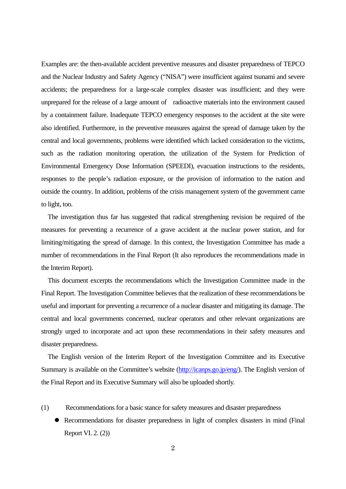Examples are: the then-available accident preventive measures and disaster preparedness of TEPCO and the Nuclear Industry and Safety Agency ("NISA") were insufficient against tsunami and severe accidents; the preparedness for a large-scale complex disaster was insufficient; and they were unprepared for the release of a large amount of radioactive materials into the environment caused by a containment failure. Inadequate TEPCO emergency responses to the accident at the site were also identified. Furthermore, in the preventive measures against the spread of damage taken by the central and local governments, problems were identified which lacked consideration to the victims, such as the radiation monitoring operation, the utilization of the System for Prediction of Environmental Emergency Dose Information (SPEEDI), evacuation instructions to the residents, responses to the people's radiation exposure, or the provision of information to the nation and outside the country. In addition, problems of the crisis management system of the government came to light, too.

The investigation thus far has suggested that radical strengthening revision be required of the measures for preventing a recurrence of a grave accident at the nuclear power station, and for limiting/mitigating the spread of damage. In this context, the Investigation Committee has made a number of recommendations in the Final Report (It also reproduces the recommendations made in the Interim Report).

This document excerpts the recommendations which the Investigation Committee made in the Final Report. The Investigation Committee believes that the realization of these recommendations be useful and important for preventing a recurrence of a nuclear disaster and mitigating its damage. The central and local governments concerned, nuclear operators and other relevant organizations are strongly urged to incorporate and act upon these recommendations in their safety measures and disaster preparedness.

The English version of the Interim Report of the Investigation Committee and its Executive Summary is available on the Committee's website (http://icanps.go.jp/eng/). The English version of the Final Report and its Executive Summary will also be uploaded shortly.

- (1) Recommendations for a basic stance for safety measures and disaster preparedness
	- Recommendations for disaster preparedness in light of complex disasters in mind (Final Report VI. 2. (2))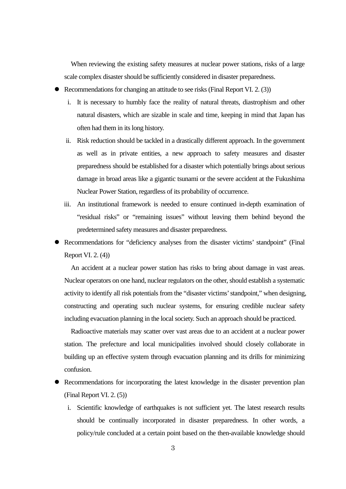When reviewing the existing safety measures at nuclear power stations, risks of a large scale complex disaster should be sufficiently considered in disaster preparedness.

- Recommendations for changing an attitude to see risks (Final Report VI. 2. (3))
	- i. It is necessary to humbly face the reality of natural threats, diastrophism and other natural disasters, which are sizable in scale and time, keeping in mind that Japan has often had them in its long history.
	- ii. Risk reduction should be tackled in a drastically different approach. In the government as well as in private entities, a new approach to safety measures and disaster preparedness should be established for a disaster which potentially brings about serious damage in broad areas like a gigantic tsunami or the severe accident at the Fukushima Nuclear Power Station, regardless of its probability of occurrence.
	- iii. An institutional framework is needed to ensure continued in-depth examination of "residual risks" or "remaining issues" without leaving them behind beyond the predetermined safety measures and disaster preparedness.
- Recommendations for "deficiency analyses from the disaster victims' standpoint" (Final Report VI. 2. (4))

An accident at a nuclear power station has risks to bring about damage in vast areas. Nuclear operators on one hand, nuclear regulators on the other, should establish a systematic activity to identify all risk potentials from the "disaster victims' standpoint," when designing, constructing and operating such nuclear systems, for ensuring credible nuclear safety including evacuation planning in the local society. Such an approach should be practiced.

Radioactive materials may scatter over vast areas due to an accident at a nuclear power station. The prefecture and local municipalities involved should closely collaborate in building up an effective system through evacuation planning and its drills for minimizing confusion.

- Recommendations for incorporating the latest knowledge in the disaster prevention plan (Final Report VI. 2. (5))
	- i. Scientific knowledge of earthquakes is not sufficient yet. The latest research results should be continually incorporated in disaster preparedness. In other words, a policy/rule concluded at a certain point based on the then-available knowledge should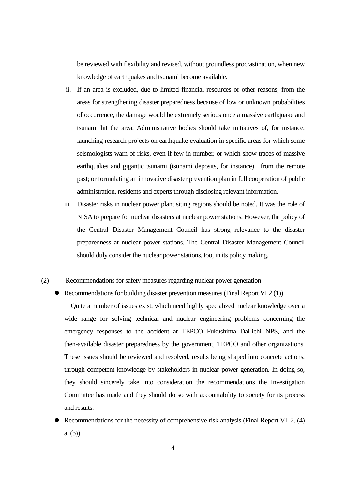be reviewed with flexibility and revised, without groundless procrastination, when new knowledge of earthquakes and tsunami become available.

- ii. If an area is excluded, due to limited financial resources or other reasons, from the areas for strengthening disaster preparedness because of low or unknown probabilities of occurrence, the damage would be extremely serious once a massive earthquake and tsunami hit the area. Administrative bodies should take initiatives of, for instance, launching research projects on earthquake evaluation in specific areas for which some seismologists warn of risks, even if few in number, or which show traces of massive earthquakes and gigantic tsunami (tsunami deposits, for instance) from the remote past; or formulating an innovative disaster prevention plan in full cooperation of public administration, residents and experts through disclosing relevant information.
- iii. Disaster risks in nuclear power plant siting regions should be noted. It was the role of NISA to prepare for nuclear disasters at nuclear power stations. However, the policy of the Central Disaster Management Council has strong relevance to the disaster preparedness at nuclear power stations. The Central Disaster Management Council should duly consider the nuclear power stations, too, in its policy making.
- (2) Recommendations for safety measures regarding nuclear power generation
	- Recommendations for building disaster prevention measures (Final Report VI 2 (1))

Quite a number of issues exist, which need highly specialized nuclear knowledge over a wide range for solving technical and nuclear engineering problems concerning the emergency responses to the accident at TEPCO Fukushima Dai-ichi NPS, and the then-available disaster preparedness by the government, TEPCO and other organizations. These issues should be reviewed and resolved, results being shaped into concrete actions, through competent knowledge by stakeholders in nuclear power generation. In doing so, they should sincerely take into consideration the recommendations the Investigation Committee has made and they should do so with accountability to society for its process and results.

 Recommendations for the necessity of comprehensive risk analysis (Final Report VI. 2. (4) a. (b))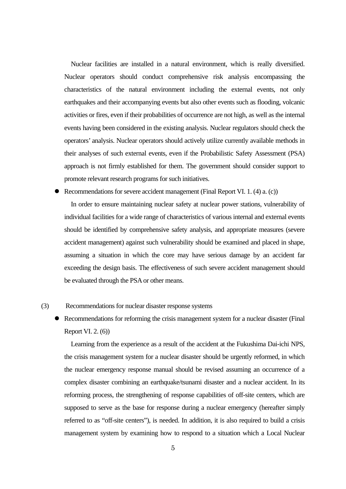Nuclear facilities are installed in a natural environment, which is really diversified. Nuclear operators should conduct comprehensive risk analysis encompassing the characteristics of the natural environment including the external events, not only earthquakes and their accompanying events but also other events such as flooding, volcanic activities or fires, even if their probabilities of occurrence are not high, as well as the internal events having been considered in the existing analysis. Nuclear regulators should check the operators' analysis. Nuclear operators should actively utilize currently available methods in their analyses of such external events, even if the Probabilistic Safety Assessment (PSA) approach is not firmly established for them. The government should consider support to promote relevant research programs for such initiatives.

Recommendations for severe accident management (Final Report VI. 1. (4) a. (c))

In order to ensure maintaining nuclear safety at nuclear power stations, vulnerability of individual facilities for a wide range of characteristics of various internal and external events should be identified by comprehensive safety analysis, and appropriate measures (severe accident management) against such vulnerability should be examined and placed in shape, assuming a situation in which the core may have serious damage by an accident far exceeding the design basis. The effectiveness of such severe accident management should be evaluated through the PSA or other means.

#### (3) Recommendations for nuclear disaster response systems

 Recommendations for reforming the crisis management system for a nuclear disaster (Final Report VI. 2. (6))

Learning from the experience as a result of the accident at the Fukushima Dai-ichi NPS, the crisis management system for a nuclear disaster should be urgently reformed, in which the nuclear emergency response manual should be revised assuming an occurrence of a complex disaster combining an earthquake/tsunami disaster and a nuclear accident. In its reforming process, the strengthening of response capabilities of off-site centers, which are supposed to serve as the base for response during a nuclear emergency (hereafter simply referred to as "off-site centers"), is needed. In addition, it is also required to build a crisis management system by examining how to respond to a situation which a Local Nuclear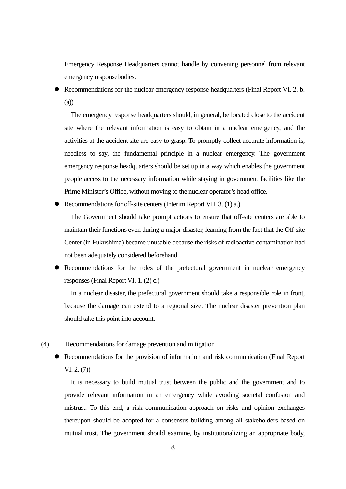Emergency Response Headquarters cannot handle by convening personnel from relevant emergency responsebodies.

 Recommendations for the nuclear emergency response headquarters (Final Report VI. 2. b. (a))

The emergency response headquarters should, in general, be located close to the accident site where the relevant information is easy to obtain in a nuclear emergency, and the activities at the accident site are easy to grasp. To promptly collect accurate information is, needless to say, the fundamental principle in a nuclear emergency. The government emergency response headquarters should be set up in a way which enables the government people access to the necessary information while staying in government facilities like the Prime Minister's Office, without moving to the nuclear operator's head office.

Recommendations for off-site centers (Interim Report VII. 3. (1) a.)

The Government should take prompt actions to ensure that off-site centers are able to maintain their functions even during a major disaster, learning from the fact that the Off-site Center (in Fukushima) became unusable because the risks of radioactive contamination had not been adequately considered beforehand.

 Recommendations for the roles of the prefectural government in nuclear emergency responses (Final Report VI. 1. (2) c.)

In a nuclear disaster, the prefectural government should take a responsible role in front, because the damage can extend to a regional size. The nuclear disaster prevention plan should take this point into account.

- (4) Recommendations for damage prevention and mitigation
	- Recommendations for the provision of information and risk communication (Final Report VI. 2. (7))

It is necessary to build mutual trust between the public and the government and to provide relevant information in an emergency while avoiding societal confusion and mistrust. To this end, a risk communication approach on risks and opinion exchanges thereupon should be adopted for a consensus building among all stakeholders based on mutual trust. The government should examine, by institutionalizing an appropriate body,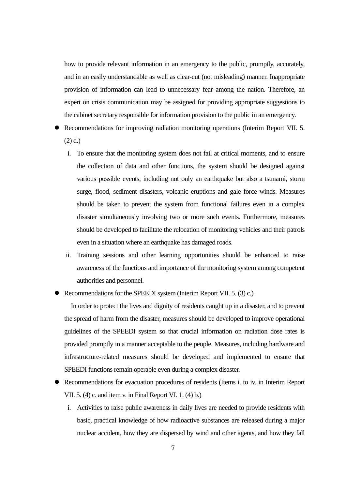how to provide relevant information in an emergency to the public, promptly, accurately, and in an easily understandable as well as clear-cut (not misleading) manner. Inappropriate provision of information can lead to unnecessary fear among the nation. Therefore, an expert on crisis communication may be assigned for providing appropriate suggestions to the cabinet secretary responsible for information provision to the public in an emergency.

- Recommendations for improving radiation monitoring operations (Interim Report VII. 5. (2) d.)
	- i. To ensure that the monitoring system does not fail at critical moments, and to ensure the collection of data and other functions, the system should be designed against various possible events, including not only an earthquake but also a tsunami, storm surge, flood, sediment disasters, volcanic eruptions and gale force winds. Measures should be taken to prevent the system from functional failures even in a complex disaster simultaneously involving two or more such events. Furthermore, measures should be developed to facilitate the relocation of monitoring vehicles and their patrols even in a situation where an earthquake has damaged roads.
	- ii. Training sessions and other learning opportunities should be enhanced to raise awareness of the functions and importance of the monitoring system among competent authorities and personnel.
- Recommendations for the SPEEDI system (Interim Report VII. 5. (3) c.)

In order to protect the lives and dignity of residents caught up in a disaster, and to prevent the spread of harm from the disaster, measures should be developed to improve operational guidelines of the SPEEDI system so that crucial information on radiation dose rates is provided promptly in a manner acceptable to the people. Measures, including hardware and infrastructure-related measures should be developed and implemented to ensure that SPEEDI functions remain operable even during a complex disaster.

- Recommendations for evacuation procedures of residents (Items i. to iv. in Interim Report VII. 5. (4) c. and item v. in Final Report VI. 1. (4) b.)
	- i. Activities to raise public awareness in daily lives are needed to provide residents with basic, practical knowledge of how radioactive substances are released during a major nuclear accident, how they are dispersed by wind and other agents, and how they fall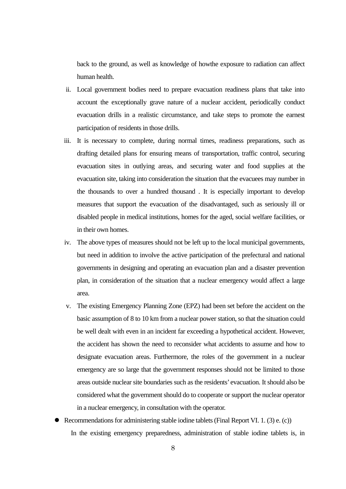back to the ground, as well as knowledge of howthe exposure to radiation can affect human health.

- ii. Local government bodies need to prepare evacuation readiness plans that take into account the exceptionally grave nature of a nuclear accident, periodically conduct evacuation drills in a realistic circumstance, and take steps to promote the earnest participation of residents in those drills.
- iii. It is necessary to complete, during normal times, readiness preparations, such as drafting detailed plans for ensuring means of transportation, traffic control, securing evacuation sites in outlying areas, and securing water and food supplies at the evacuation site, taking into consideration the situation that the evacuees may number in the thousands to over a hundred thousand . It is especially important to develop measures that support the evacuation of the disadvantaged, such as seriously ill or disabled people in medical institutions, homes for the aged, social welfare facilities, or in their own homes.
- iv. The above types of measures should not be left up to the local municipal governments, but need in addition to involve the active participation of the prefectural and national governments in designing and operating an evacuation plan and a disaster prevention plan, in consideration of the situation that a nuclear emergency would affect a large area.
- v. The existing Emergency Planning Zone (EPZ) had been set before the accident on the basic assumption of 8 to 10 km from a nuclear power station, so that the situation could be well dealt with even in an incident far exceeding a hypothetical accident. However, the accident has shown the need to reconsider what accidents to assume and how to designate evacuation areas. Furthermore, the roles of the government in a nuclear emergency are so large that the government responses should not be limited to those areas outside nuclear site boundaries such as the residents' evacuation. It should also be considered what the government should do to cooperate or support the nuclear operator in a nuclear emergency, in consultation with the operator.
- $\bullet$  Recommendations for administering stable iodine tablets (Final Report VI. 1. (3) e. (c)) In the existing emergency preparedness, administration of stable iodine tablets is, in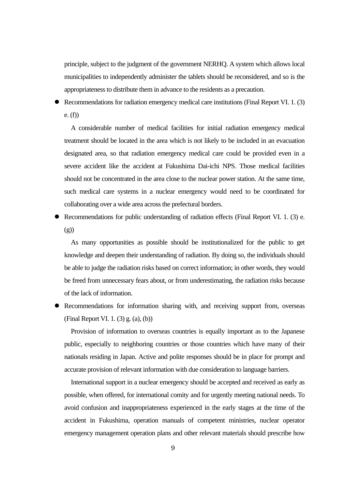principle, subject to the judgment of the government NERHQ. A system which allows local municipalities to independently administer the tablets should be reconsidered, and so is the appropriateness to distribute them in advance to the residents as a precaution.

 Recommendations for radiation emergency medical care institutions (Final Report VI. 1. (3) e. (f))

A considerable number of medical facilities for initial radiation emergency medical treatment should be located in the area which is not likely to be included in an evacuation designated area, so that radiation emergency medical care could be provided even in a severe accident like the accident at Fukushima Dai-ichi NPS. Those medical facilities should not be concentrated in the area close to the nuclear power station. At the same time, such medical care systems in a nuclear emergency would need to be coordinated for collaborating over a wide area across the prefectural borders.

 Recommendations for public understanding of radiation effects (Final Report VI. 1. (3) e. (g))

As many opportunities as possible should be institutionalized for the public to get knowledge and deepen their understanding of radiation. By doing so, the individuals should be able to judge the radiation risks based on correct information; in other words, they would be freed from unnecessary fears about, or from underestimating, the radiation risks because of the lack of information.

 Recommendations for information sharing with, and receiving support from, overseas (Final Report VI. 1. (3) g. (a), (b))

Provision of information to overseas countries is equally important as to the Japanese public, especially to neighboring countries or those countries which have many of their nationals residing in Japan. Active and polite responses should be in place for prompt and accurate provision of relevant information with due consideration to language barriers.

International support in a nuclear emergency should be accepted and received as early as possible, when offered, for international comity and for urgently meeting national needs. To avoid confusion and inappropriateness experienced in the early stages at the time of the accident in Fukushima, operation manuals of competent ministries, nuclear operator emergency management operation plans and other relevant materials should prescribe how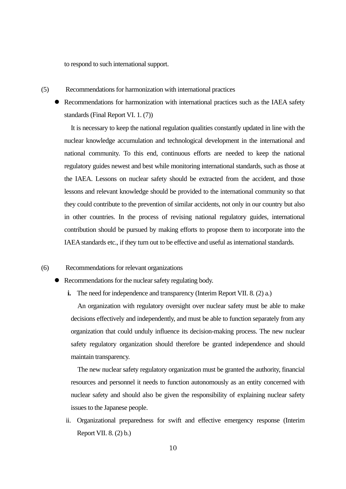to respond to such international support.

- (5) Recommendations for harmonization with international practices
	- Recommendations for harmonization with international practices such as the IAEA safety standards (Final Report VI. 1. (7))

It is necessary to keep the national regulation qualities constantly updated in line with the nuclear knowledge accumulation and technological development in the international and national community. To this end, continuous efforts are needed to keep the national regulatory guides newest and best while monitoring international standards, such as those at the IAEA. Lessons on nuclear safety should be extracted from the accident, and those lessons and relevant knowledge should be provided to the international community so that they could contribute to the prevention of similar accidents, not only in our country but also in other countries. In the process of revising national regulatory guides, international contribution should be pursued by making efforts to propose them to incorporate into the IAEA standards etc., if they turn out to be effective and useful as international standards.

## (6) Recommendations for relevant organizations

- Recommendations for the nuclear safety regulating body.
	- **i.** The need for independence and transparency (Interim Report VII. 8. (2) a.)

An organization with regulatory oversight over nuclear safety must be able to make decisions effectively and independently, and must be able to function separately from any organization that could unduly influence its decision-making process. The new nuclear safety regulatory organization should therefore be granted independence and should maintain transparency.

The new nuclear safety regulatory organization must be granted the authority, financial resources and personnel it needs to function autonomously as an entity concerned with nuclear safety and should also be given the responsibility of explaining nuclear safety issues to the Japanese people.

ii. Organizational preparedness for swift and effective emergency response (Interim Report VII. 8. (2) b.)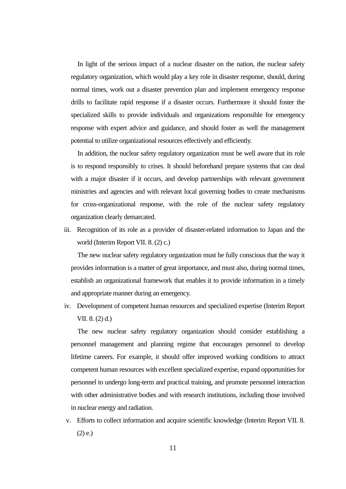In light of the serious impact of a nuclear disaster on the nation, the nuclear safety regulatory organization, which would play a key role in disaster response, should, during normal times, work out a disaster prevention plan and implement emergency response drills to facilitate rapid response if a disaster occurs. Furthermore it should foster the specialized skills to provide individuals and organizations responsible for emergency response with expert advice and guidance, and should foster as well the management potential to utilize organizational resources effectively and efficiently.

In addition, the nuclear safety regulatory organization must be well aware that its role is to respond responsibly to crises. It should beforehand prepare systems that can deal with a major disaster if it occurs, and develop partnerships with relevant government ministries and agencies and with relevant local governing bodies to create mechanisms for cross-organizational response, with the role of the nuclear safety regulatory organization clearly demarcated.

iii. Recognition of its role as a provider of disaster-related information to Japan and the world (Interim Report VII. 8. (2) c.)

The new nuclear safety regulatory organization must be fully conscious that the way it provides information is a matter of great importance, and must also, during normal times, establish an organizational framework that enables it to provide information in a timely and appropriate manner during an emergency.

iv. Development of competent human resources and specialized expertise (Interim Report VII. 8. (2) d.)

The new nuclear safety regulatory organization should consider establishing a personnel management and planning regime that encourages personnel to develop lifetime careers. For example, it should offer improved working conditions to attract competent human resources with excellent specialized expertise, expand opportunities for personnel to undergo long-term and practical training, and promote personnel interaction with other administrative bodies and with research institutions, including those involved in nuclear energy and radiation.

v. Efforts to collect information and acquire scientific knowledge (Interim Report VII. 8. (2) e.)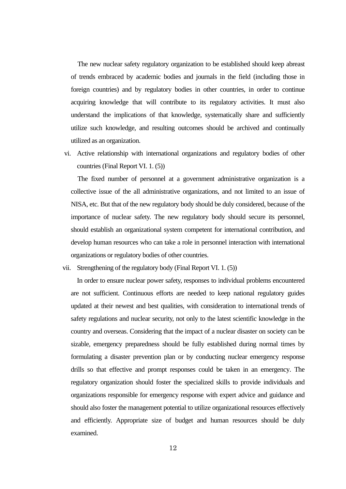The new nuclear safety regulatory organization to be established should keep abreast of trends embraced by academic bodies and journals in the field (including those in foreign countries) and by regulatory bodies in other countries, in order to continue acquiring knowledge that will contribute to its regulatory activities. It must also understand the implications of that knowledge, systematically share and sufficiently utilize such knowledge, and resulting outcomes should be archived and continually utilized as an organization.

vi. Active relationship with international organizations and regulatory bodies of other countries (Final Report VI. 1. (5))

The fixed number of personnel at a government administrative organization is a collective issue of the all administrative organizations, and not limited to an issue of NISA, etc. But that of the new regulatory body should be duly considered, because of the importance of nuclear safety. The new regulatory body should secure its personnel, should establish an organizational system competent for international contribution, and develop human resources who can take a role in personnel interaction with international organizations or regulatory bodies of other countries.

vii. Strengthening of the regulatory body (Final Report VI. 1. (5))

In order to ensure nuclear power safety, responses to individual problems encountered are not sufficient. Continuous efforts are needed to keep national regulatory guides updated at their newest and best qualities, with consideration to international trends of safety regulations and nuclear security, not only to the latest scientific knowledge in the country and overseas. Considering that the impact of a nuclear disaster on society can be sizable, emergency preparedness should be fully established during normal times by formulating a disaster prevention plan or by conducting nuclear emergency response drills so that effective and prompt responses could be taken in an emergency. The regulatory organization should foster the specialized skills to provide individuals and organizations responsible for emergency response with expert advice and guidance and should also foster the management potential to utilize organizational resources effectively and efficiently. Appropriate size of budget and human resources should be duly examined.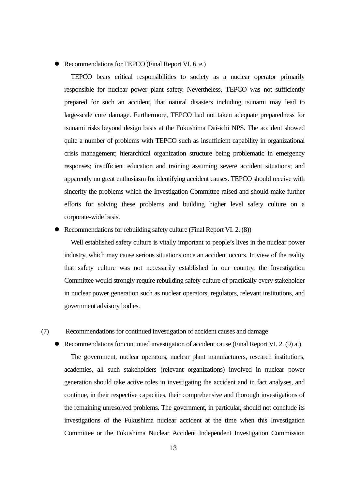### Recommendations for TEPCO (Final Report VI. 6. e.)

TEPCO bears critical responsibilities to society as a nuclear operator primarily responsible for nuclear power plant safety. Nevertheless, TEPCO was not sufficiently prepared for such an accident, that natural disasters including tsunami may lead to large-scale core damage. Furthermore, TEPCO had not taken adequate preparedness for tsunami risks beyond design basis at the Fukushima Dai-ichi NPS. The accident showed quite a number of problems with TEPCO such as insufficient capability in organizational crisis management; hierarchical organization structure being problematic in emergency responses; insufficient education and training assuming severe accident situations; and apparently no great enthusiasm for identifying accident causes. TEPCO should receive with sincerity the problems which the Investigation Committee raised and should make further efforts for solving these problems and building higher level safety culture on a corporate-wide basis.

#### Recommendations for rebuilding safety culture (Final Report VI. 2. (8))

Well established safety culture is vitally important to people's lives in the nuclear power industry, which may cause serious situations once an accident occurs. In view of the reality that safety culture was not necessarily established in our country, the Investigation Committee would strongly require rebuilding safety culture of practically every stakeholder in nuclear power generation such as nuclear operators, regulators, relevant institutions, and government advisory bodies.

#### (7) Recommendations for continued investigation of accident causes and damage

Recommendations for continued investigation of accident cause (Final Report VI. 2. (9) a.)

The government, nuclear operators, nuclear plant manufacturers, research institutions, academies, all such stakeholders (relevant organizations) involved in nuclear power generation should take active roles in investigating the accident and in fact analyses, and continue, in their respective capacities, their comprehensive and thorough investigations of the remaining unresolved problems. The government, in particular, should not conclude its investigations of the Fukushima nuclear accident at the time when this Investigation Committee or the Fukushima Nuclear Accident Independent Investigation Commission